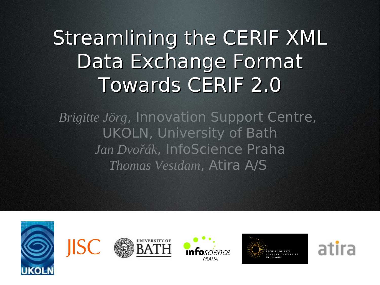# Streamlining the CERIF XML Data Exchange Format Towards CERIF 2.0

*Brigitte Jörg*, Innovation Support Centre, UKOLN, University of Bath *Jan Dvořák*, InfoScience Praha *Thomas Vestdam*, Atira A/S

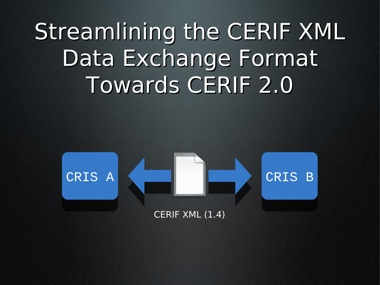# Streamlining the CERIF XML Data Exchange Format Towards CERIF 2.0

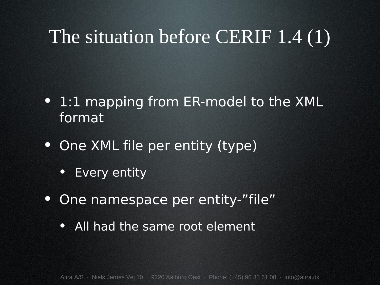## The situation before CERIF 1.4 (1)

- 1:1 mapping from ER-model to the XML format
- One XML file per entity (type)
	- Every entity
- One namespace per entity-"file"
	- All had the same root element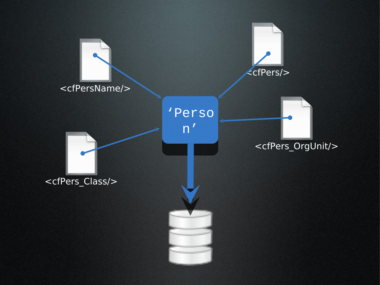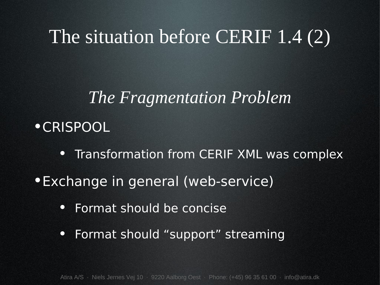## The situation before CERIF 1.4 (2)

#### *The Fragmentation Problem*

- •CRISPOOL
	- Transformation from CERIF XML was complex
- •Exchange in general (web-service)
	- Format should be concise
	- Format should "support" streaming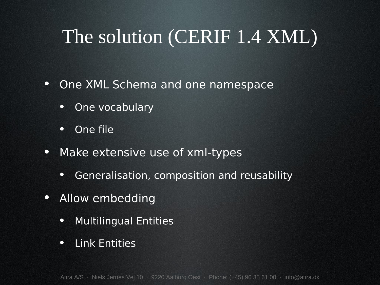## The solution (CERIF 1.4 XML)

- One XML Schema and one namespace
	- One vocabulary
	- One file
- Make extensive use of xml-types
	- Generalisation, composition and reusability
- Allow embedding
	- Multilingual Entities
	- Link Entities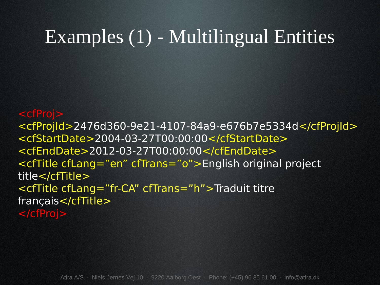#### Examples (1) - Multilingual Entities

#### <cfProj>

<cfProjId>2476d360-9e21-4107-84a9-e676b7e5334d</cfProjId> <cfStartDate>2004-03-27T00:00:00</cfStartDate> <cfEndDate>2012-03-27T00:00:00</cfEndDate> <cfTitle cfLang="en" cfTrans="o">English original project title</cfTitle> <cfTitle cfLang="fr-CA" cfTrans="h">Traduit titre français</cfTitle> </cfProj>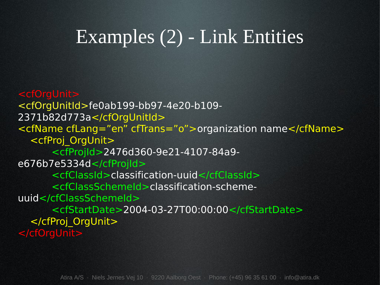## Examples (2) - Link Entities

<cfOrgUnit> <cfOrgUnitId>fe0ab199-bb97-4e20-b109- 2371b82d773a</cfOrgUnitId> <cfName cfLang="en" cfTrans="o">organization name</cfName> <cfProj\_OrgUnit> <cfProjId>2476d360-9e21-4107-84a9 e676b7e5334d</cfProjId> <cfClassId>classification-uuid</cfClassId> <cfClassSchemeId>classification-schemeuuid</cfClassSchemeId> <cfStartDate>2004-03-27T00:00:00</cfStartDate> </cfProj\_OrgUnit> </cfOrgUnit>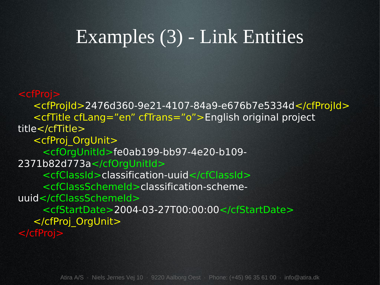#### Examples (3) - Link Entities

<cfProj> <cfProjId>2476d360-9e21-4107-84a9-e676b7e5334d</cfProjId> <cfTitle cfLang="en" cfTrans="o">English original project title</cfTitle> <cfProj\_OrgUnit> <cfOrgUnitId>fe0ab199-bb97-4e20-b109- 2371b82d773a</cfOrgUnitId> <cfClassId>classification-uuid</cfClassId> <cfClassSchemeId>classification-schemeuuid</cfClassSchemeId> <cfStartDate>2004-03-27T00:00:00</cfStartDate> </cfProj\_OrgUnit> </cfProj>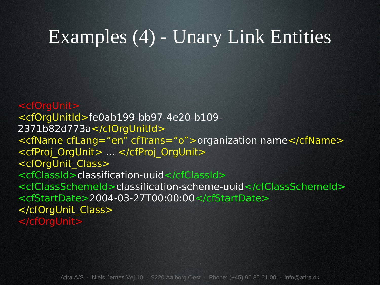#### Examples (4) - Unary Link Entities

<cfOrgUnit> <cfOrgUnitId>fe0ab199-bb97-4e20-b109- 2371b82d773a</cfOrgUnitId> <cfName cfLang="en" cfTrans="o">organization name</cfName> <cfProj\_OrgUnit> ... </cfProj\_OrgUnit> <cfOrgUnit\_Class> <cfClassId>classification-uuid</cfClassId> <cfClassSchemeId>classification-scheme-uuid</cfClassSchemeId> <cfStartDate>2004-03-27T00:00:00</cfStartDate> </cfOrgUnit\_Class> </cfOrgUnit>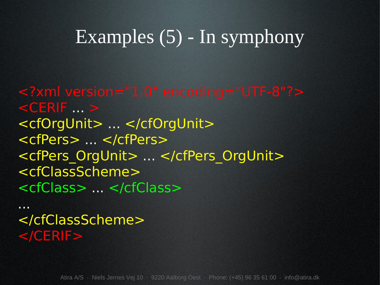#### Examples (5) - In symphony

<?xml version="1.0" encoding="UTF-8"?>  $<$ CERIF  $\ldots$  > <cfOrgUnit> ... </cfOrgUnit> <cfPers> ... </cfPers> <cfPers\_OrgUnit> ... </cfPers\_OrgUnit> <cfClassScheme> <cfClass> ... </cfClass>

... </cfClassScheme>  $<$ /CERIF $>$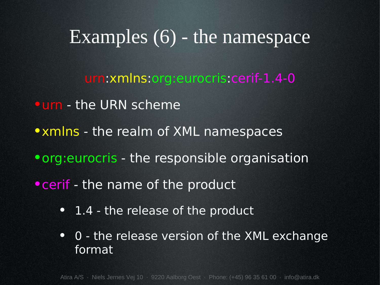#### Examples  $(6)$  - the namespace

#### urn:xmlns:org:eurocris:cerif-1.4-0

- •urn the URN scheme
- xmlns the realm of XML namespaces
- •org:eurocris the responsible organisation
- cerif the name of the product
	- 1.4 the release of the product
	- 0 the release version of the XML exchange format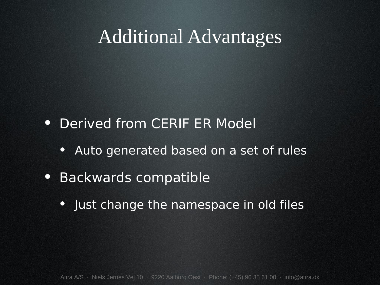#### Additional Advantages

- Derived from CERIF ER Model
	- Auto generated based on a set of rules
- Backwards compatible
	- Just change the namespace in old files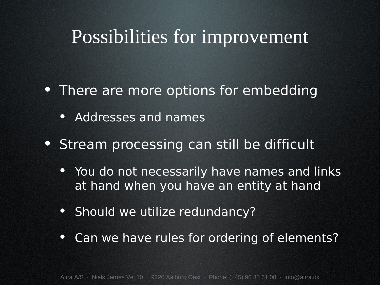#### Possibilities for improvement

- There are more options for embedding
	- Addresses and names
- Stream processing can still be difficult
	- You do not necessarily have names and links at hand when you have an entity at hand
	- Should we utilize redundancy?
	- Can we have rules for ordering of elements?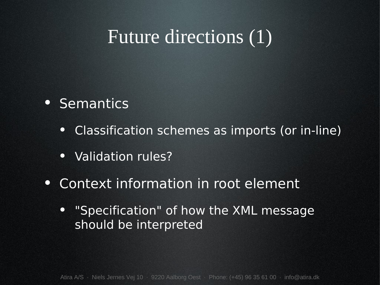## Future directions (1)

- Semantics
	- Classification schemes as imports (or in-line)
	- Validation rules?
- Context information in root element
	- "Specification" of how the XML message should be interpreted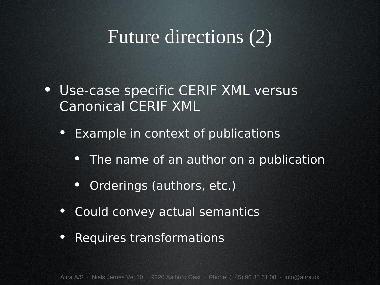## Future directions (2)

- Use-case specific CERIF XML versus Canonical CERIF XML
	- Example in context of publications
		- The name of an author on a publication
		- Orderings (authors, etc.)
	- Could convey actual semantics
	- Requires transformations